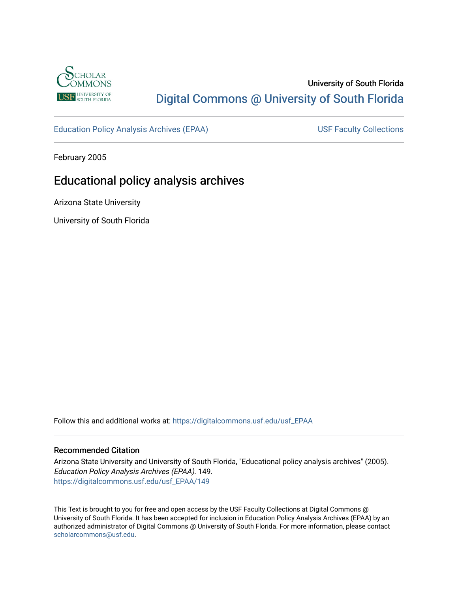

# University of South Florida [Digital Commons @ University of South Florida](https://digitalcommons.usf.edu/)

[Education Policy Analysis Archives \(EPAA\)](https://digitalcommons.usf.edu/usf_EPAA) USF Faculty Collections

February 2005

# Educational policy analysis archives

Arizona State University

University of South Florida

Follow this and additional works at: [https://digitalcommons.usf.edu/usf\\_EPAA](https://digitalcommons.usf.edu/usf_EPAA?utm_source=digitalcommons.usf.edu%2Fusf_EPAA%2F149&utm_medium=PDF&utm_campaign=PDFCoverPages)

#### Recommended Citation

Arizona State University and University of South Florida, "Educational policy analysis archives" (2005). Education Policy Analysis Archives (EPAA). 149. [https://digitalcommons.usf.edu/usf\\_EPAA/149](https://digitalcommons.usf.edu/usf_EPAA/149?utm_source=digitalcommons.usf.edu%2Fusf_EPAA%2F149&utm_medium=PDF&utm_campaign=PDFCoverPages)

This Text is brought to you for free and open access by the USF Faculty Collections at Digital Commons @ University of South Florida. It has been accepted for inclusion in Education Policy Analysis Archives (EPAA) by an authorized administrator of Digital Commons @ University of South Florida. For more information, please contact [scholarcommons@usf.edu.](mailto:scholarcommons@usf.edu)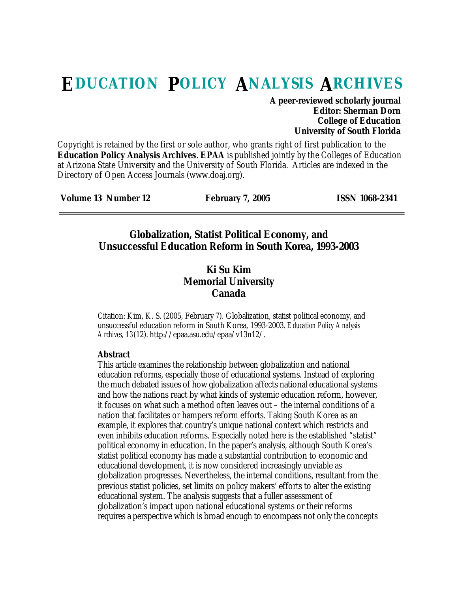# **EDUCATION POLICY ANALYSIS ARCHIVES**

#### **A peer-reviewed scholarly journal Editor: Sherman Dorn College of Education University of South Florida**

Copyright is retained by the first or sole author, who grants right of first publication to the **Education Policy Analysis Archives**. **EPAA** is published jointly by the Colleges of Education at Arizona State University and the University of South Florida. Articles are indexed in the Directory of Open Access Journals (www.doaj.org).

| Volume 13 Number 12<br><b>ISSN 1068-2341</b><br><b>February 7, 2005</b> |
|-------------------------------------------------------------------------|
|-------------------------------------------------------------------------|

### **Globalization, Statist Political Economy, and Unsuccessful Education Reform in South Korea, 1993-2003**

#### **Ki Su Kim Memorial University Canada**

Citation: Kim, K. S. (2005, February 7). Globalization, statist political economy, and unsuccessful education reform in South Korea, 1993-2003. *Education Policy Analysis Archives, 13*(12). http://epaa.asu.edu/epaa/v13n12/.

#### **Abstract**

This article examines the relationship between globalization and national education reforms, especially those of educational systems. Instead of exploring the much debated issues of how globalization affects national educational systems and how the nations react by what kinds of systemic education reform, however, it focuses on what such a method often leaves out – the internal conditions of a nation that facilitates or hampers reform efforts. Taking South Korea as an example, it explores that country's unique national context which restricts and even inhibits education reforms. Especially noted here is the established "statist" political economy in education. In the paper's analysis, although South Korea's statist political economy has made a substantial contribution to economic and educational development, it is now considered increasingly unviable as globalization progresses. Nevertheless, the internal conditions, resultant from the previous statist policies, set limits on policy makers' efforts to alter the existing educational system. The analysis suggests that a fuller assessment of globalization's impact upon national educational systems or their reforms requires a perspective which is broad enough to encompass not only the concepts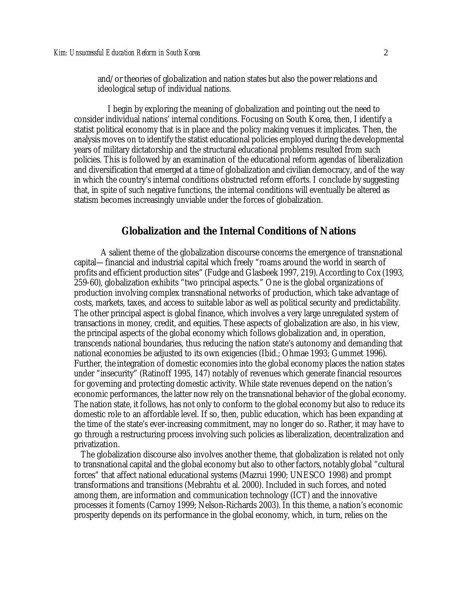and/or theories of globalization and nation states but also the power relations and ideological setup of individual nations.

I begin by exploring the meaning of globalization and pointing out the need to consider individual nations' internal conditions. Focusing on South Korea, then, I identify a statist political economy that is in place and the policy making venues it implicates. Then, the analysis moves on to identify the statist educational policies employed during the developmental years of military dictatorship and the structural educational problems resulted from such policies. This is followed by an examination of the educational reform agendas of liberalization and diversification that emerged at a time of globalization and civilian democracy, and of the way in which the country's internal conditions obstructed reform efforts. I conclude by suggesting that, in spite of such negative functions, the internal conditions will eventually be altered as statism becomes increasingly unviable under the forces of globalization.

#### **Globalization and the Internal Conditions of Nations**

A salient theme of the globalization discourse concerns the emergence of transnational capital—financial and industrial capital which freely "roams around the world in search of profits and efficient production sites" (Fudge and Glasbeek 1997, 219). According to Cox (1993, 259-60), globalization exhibits "two principal aspects." One is the global organizations of production involving complex transnational networks of production, which take advantage of costs, markets, taxes, and access to suitable labor as well as political security and predictability. The other principal aspect is global finance, which involves a very large unregulated system of transactions in money, credit, and equities. These aspects of globalization are also, in his view, the principal aspects of the global economy which follows globalization and, in operation, transcends national boundaries, thus reducing the nation state's autonomy and demanding that national economies be adjusted to its own exigencies (Ibid.; Ohmae 1993; Gummet 1996). Further, the integration of domestic economies into the global economy places the nation states under "insecurity" (Ratinoff 1995, 147) notably of revenues which generate financial resources for governing and protecting domestic activity. While state revenues depend on the nation's economic performances, the latter now rely on the transnational behavior of the global economy. The nation state, it follows, has not only to conform to the global economy but also to reduce its domestic role to an affordable level. If so, then, public education, which has been expanding at the time of the state's ever-increasing commitment, may no longer do so. Rather, it may have to go through a restructuring process involving such policies as liberalization, decentralization and privatization.

The globalization discourse also involves another theme, that globalization is related not only to transnational capital and the global economy but also to other factors, notably global "cultural forces" that affect national educational systems (Mazrui 1990; UNESCO 1998) and prompt transformations and transitions (Mebrahtu et al. 2000). Included in such forces, and noted among them, are information and communication technology (ICT) and the innovative processes it foments (Carnoy 1999; Nelson-Richards 2003). In this theme, a nation's economic prosperity depends on its performance in the global economy, which, in turn, relies on the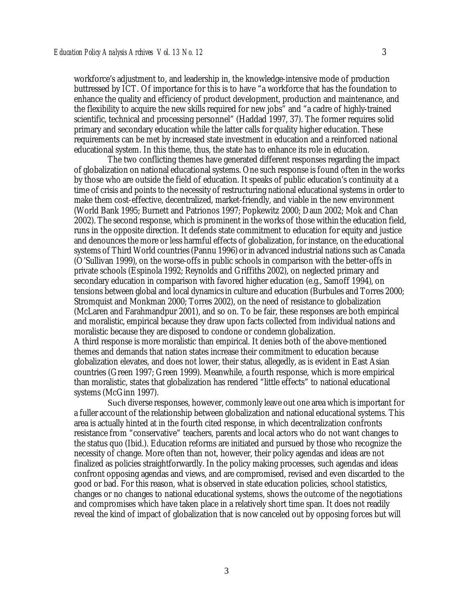workforce's adjustment to, and leadership in, the knowledge-intensive mode of production buttressed by ICT. Of importance for this is to have "a workforce that has the foundation to enhance the quality and efficiency of product development, production and maintenance, and the flexibility to acquire the new skills required for new jobs" and "a cadre of highly-trained scientific, technical and processing personnel" (Haddad 1997, 37). The former requires solid primary and secondary education while the latter calls for quality higher education. These requirements can be met by increased state investment in education and a reinforced national educational system. In this theme, thus, the state has to enhance its role in education.

The two conflicting themes have generated different responses regarding the impact of globalization on national educational systems. One such response is found often in the works by those who are outside the field of education. It speaks of public education's continuity at a time of crisis and points to the necessity of restructuring national educational systems in order to make them cost-effective, decentralized, market-friendly, and viable in the new environment (World Bank 1995; Burnett and Patrionos 1997; Popkewitz 2000; Daun 2002; Mok and Chan 2002). The second response, which is prominent in the works of those within the education field, runs in the opposite direction. It defends state commitment to education for equity and justice and denounces the more or less harmful effects of globalization, for instance, on the educational systems of Third World countries (Pannu 1996) or in advanced industrial nations such as Canada (O'Sullivan 1999), on the worse-offs in public schools in comparison with the better-offs in private schools (Espinola 1992; Reynolds and Griffiths 2002), on neglected primary and secondary education in comparison with favored higher education (e.g., Samoff 1994), on tensions between global and local dynamics in culture and education (Burbules and Torres 2000; Stromquist and Monkman 2000; Torres 2002), on the need of resistance to globalization (McLaren and Farahmandpur 2001), and so on. To be fair, these responses are both empirical and moralistic, empirical because they draw upon facts collected from individual nations and moralistic because they are disposed to condone or condemn globalization. A third response is more moralistic than empirical. It denies both of the above-mentioned themes and demands that nation states increase their commitment to education because globalization elevates, and does not lower, their status, allegedly, as is evident in East Asian countries (Green 1997; Green 1999). Meanwhile, a fourth response, which is more empirical than moralistic, states that globalization has rendered "little effects" to national educational systems (McGinn 1997).

Such diverse responses, however, commonly leave out one area which is important for a fuller account of the relationship between globalization and national educational systems. This area is actually hinted at in the fourth cited response, in which decentralization confronts resistance from "conservative" teachers, parents and local actors who do not want changes to the status quo (Ibid.). Education reforms are initiated and pursued by those who recognize the necessity of change. More often than not, however, their policy agendas and ideas are not finalized as policies straightforwardly. In the policy making processes, such agendas and ideas confront opposing agendas and views, and are compromised, revised and even discarded to the good or bad. For this reason, what is observed in state education policies, school statistics, changes or no changes to national educational systems, shows the outcome of the negotiations and compromises which have taken place in a relatively short time span. It does not readily reveal the kind of impact of globalization that is now canceled out by opposing forces but will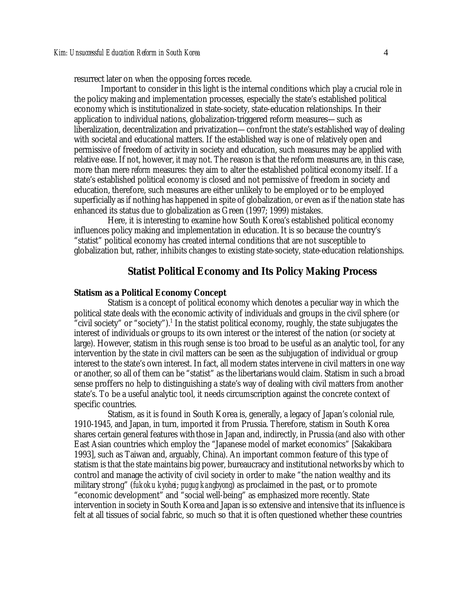resurrect later on when the opposing forces recede.

Important to consider in this light is the internal conditions which play a crucial role in the policy making and implementation processes, especially the state's established political economy which is institutionalized in state-society, state-education relationships. In their application to individual nations, globalization-triggered reform measures—such as liberalization, decentralization and privatization—confront the state's established way of dealing with societal and educational matters. If the established way is one of relatively open and permissive of freedom of activity in society and education, such measures may be applied with relative ease. If not, however, it may not. The reason is that the reform measures are, in this case, more than mere *reform* measures: they aim to alter the established political economy itself. If a state's established political economy is closed and not permissive of freedom in society and education, therefore, such measures are either unlikely to be employed or to be employed superficially as if nothing has happened in spite of globalization, or even as if the nation state has enhanced its status due to globalization as Green (1997; 1999) mistakes.

Here, it is interesting to examine how South Korea's established political economy influences policy making and implementation in education. It is so because the country's "statist" political economy has created internal conditions that are not susceptible to globalization but, rather, inhibits changes to existing state-society, state-education relationships.

#### **Statist Political Economy and Its Policy Making Process**

#### **Statism as a Political Economy Concept**

Statism is a concept of political economy which denotes a peculiar way in which the political state deals with the economic activity of individuals and groups in the civil sphere (or "civil society" or "society").<sup>1</sup> In the statist political economy, roughly, the state subjugates the interest of individuals or groups to its own interest or the interest of the nation (or society at large). However, statism in this rough sense is too broad to be useful as an analytic tool, for any intervention by the state in civil matters can be seen as the subjugation of individual or group interest to the state's own interest. In fact, all modern states intervene in civil matters in one way or another, so all of them can be "statist" as the libertarians would claim. Statism in such a broad sense proffers no help to distinguishing a state's way of dealing with civil matters from another state's. To be a useful analytic tool, it needs circumscription against the concrete context of specific countries.

Statism, as it is found in South Korea is, generally, a legacy of Japan's colonial rule, 1910-1945, and Japan, in turn, imported it from Prussia. Therefore, statism in South Korea shares certain general features with those in Japan and, indirectly, in Prussia (and also with other East Asian countries which employ the "Japanese model of market economics" [Sakakibara 1993], such as Taiwan and, arguably, China). An important common feature of this type of statism is that the state maintains big power, bureaucracy and institutional networks by which to control and manage the activity of civil society in order to make "the nation wealthy and its military strong" (*fukoku kyohei*; *pugug kangbyong*) as proclaimed in the past, or to promote "economic development" and "social well-being" as emphasized more recently. State intervention in society in South Korea and Japan is so extensive and intensive that its influence is felt at all tissues of social fabric, so much so that it is often questioned whether these countries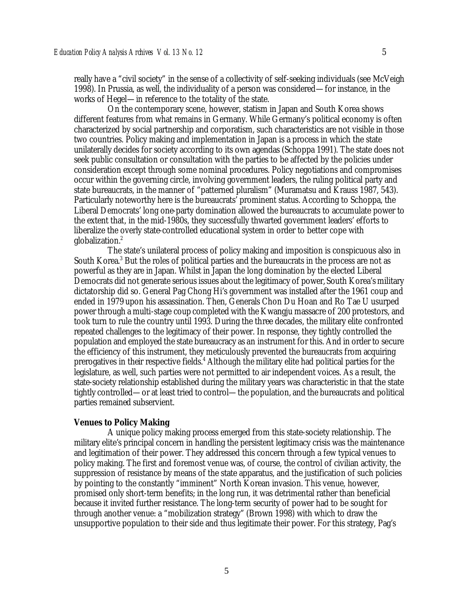really have a "civil society" in the sense of a collectivity of self-seeking individuals (see McVeigh 1998). In Prussia, as well, the individuality of a person was considered—for instance, in the works of Hegel—in reference to the totality of the state.

On the contemporary scene, however, statism in Japan and South Korea shows different features from what remains in Germany. While Germany's political economy is often characterized by social partnership and corporatism, such characteristics are not visible in those two countries. Policy making and implementation in Japan is a process in which the state unilaterally decides for society according to its own agendas (Schoppa 1991). The state does not seek public consultation or consultation with the parties to be affected by the policies under consideration except through some nominal procedures. Policy negotiations and compromises occur within the governing circle, involving government leaders, the ruling political party and state bureaucrats, in the manner of "patterned pluralism" (Muramatsu and Krauss 1987, 543). Particularly noteworthy here is the bureaucrats' prominent status. According to Schoppa, the Liberal Democrats' long one-party domination allowed the bureaucrats to accumulate power to the extent that, in the mid-1980s, they successfully thwarted government leaders' efforts to liberalize the overly state-controlled educational system in order to better cope with globalization.<sup>2</sup>

The state's unilateral process of policy making and imposition is conspicuous also in South Korea.<sup>3</sup> But the roles of political parties and the bureaucrats in the process are not as powerful as they are in Japan. Whilst in Japan the long domination by the elected Liberal Democrats did not generate serious issues about the legitimacy of power, South Korea's military dictatorship did so. General Pag Chong Hi's government was installed after the 1961 coup and ended in 1979 upon his assassination. Then, Generals Chon Du Hoan and Ro Tae U usurped power through a multi-stage coup completed with the Kwangju massacre of 200 protestors, and took turn to rule the country until 1993. During the three decades, the military elite confronted repeated challenges to the legitimacy of their power. In response, they tightly controlled the population and employed the state bureaucracy as an instrument for this. And in order to secure the efficiency of this instrument, they meticulously prevented the bureaucrats from acquiring prerogatives in their respective fields.<sup>4</sup> Although the military elite had political parties for the legislature, as well, such parties were not permitted to air independent voices. As a result, the state-society relationship established during the military years was characteristic in that the state tightly controlled—or at least tried to control—the population, and the bureaucrats and political parties remained subservient.

#### **Venues to Policy Making**

A unique policy making process emerged from this state-society relationship. The military elite's principal concern in handling the persistent legitimacy crisis was the maintenance and legitimation of their power. They addressed this concern through a few typical venues to policy making. The first and foremost venue was, of course, the control of civilian activity, the suppression of resistance by means of the state apparatus, and the justification of such policies by pointing to the constantly "imminent" North Korean invasion. This venue, however, promised only short-term benefits; in the long run, it was detrimental rather than beneficial because it invited further resistance. The long-term security of power had to be sought for through another venue: a "mobilization strategy" (Brown 1998) with which to draw the unsupportive population to their side and thus legitimate their power. For this strategy, Pag's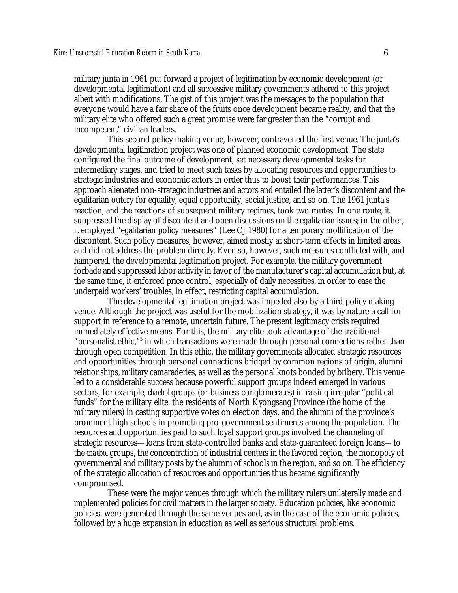military junta in 1961 put forward a project of legitimation by economic development (or developmental legitimation) and all successive military governments adhered to this project albeit with modifications. The gist of this project was the messages to the population that everyone would have a fair share of the fruits once development became reality, and that the military elite who offered such a great promise were far greater than the "corrupt and incompetent" civilian leaders.

This second policy making venue, however, contravened the first venue. The junta's developmental legitimation project was one of planned economic development. The state configured the final outcome of development, set necessary developmental tasks for intermediary stages, and tried to meet such tasks by allocating resources and opportunities to strategic industries and economic actors in order thus to boost their performances. This approach alienated non-strategic industries and actors and entailed the latter's discontent and the egalitarian outcry for equality, equal opportunity, social justice, and so on. The 1961 junta's reaction, and the reactions of subsequent military regimes, took two routes. In one route, it suppressed the display of discontent and open discussions on the egalitarian issues; in the other, it employed "egalitarian policy measures" (Lee CJ 1980) for a temporary mollification of the discontent. Such policy measures, however, aimed mostly at short-term effects in limited areas and did not address the problem directly. Even so, however, such measures conflicted with, and hampered, the developmental legitimation project. For example, the military government forbade and suppressed labor activity in favor of the manufacturer's capital accumulation but, at the same time, it enforced price control, especially of daily necessities, in order to ease the underpaid workers' troubles, in effect, restricting capital accumulation.

The developmental legitimation project was impeded also by a third policy making venue. Although the project was useful for the mobilization strategy, it was by nature a call for support in reference to a remote, uncertain future. The present legitimacy crisis required immediately effective means. For this, the military elite took advantage of the traditional "personalist ethic,"<sup>5</sup> in which transactions were made through personal connections rather than through open competition. In this ethic, the military governments allocated strategic resources and opportunities through personal connections bridged by common regions of origin, alumni relationships, military camaraderies, as well as the personal knots bonded by bribery. This venue led to a considerable success because powerful support groups indeed emerged in various sectors, for example, *chaebol* groups (or business conglomerates) in raising irregular "political funds" for the military elite, the residents of North Kyongsang Province (the home of the military rulers) in casting supportive votes on election days, and the alumni of the province's prominent high schools in promoting pro-government sentiments among the population. The resources and opportunities paid to such loyal support groups involved the channeling of strategic resources—loans from state-controlled banks and state-guaranteed foreign loans—to the *chaebol* groups, the concentration of industrial centers in the favored region, the monopoly of governmental and military posts by the alumni of schools in the region, and so on. The efficiency of the strategic allocation of resources and opportunities thus became significantly compromised.

These were the major venues through which the military rulers unilaterally made and implemented policies for civil matters in the larger society. Education policies, like economic policies, were generated through the same venues and, as in the case of the economic policies, followed by a huge expansion in education as well as serious structural problems.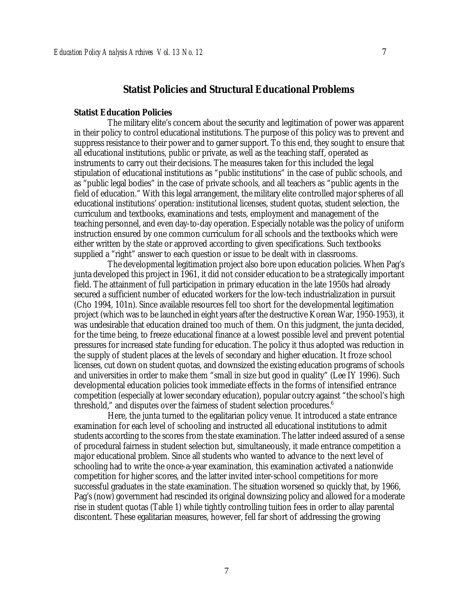#### **Statist Policies and Structural Educational Problems**

#### **Statist Education Policies**

The military elite's concern about the security and legitimation of power was apparent in their policy to control educational institutions. The purpose of this policy was to prevent and suppress resistance to their power and to garner support. To this end, they sought to ensure that all educational institutions, public or private, as well as the teaching staff, operated as instruments to carry out their decisions. The measures taken for this included the legal stipulation of educational institutions as "public institutions" in the case of public schools, and as "public legal bodies" in the case of private schools, and all teachers as "public agents in the field of education." With this legal arrangement, the military elite controlled major spheres of all educational institutions' operation: institutional licenses, student quotas, student selection, the curriculum and textbooks, examinations and tests, employment and management of the teaching personnel, and even day-to-day operation. Especially notable was the policy of uniform instruction ensured by one common curriculum for all schools and the textbooks which were either written by the state or approved according to given specifications. Such textbooks supplied a "right" answer to each question or issue to be dealt with in classrooms.

The developmental legitimation project also bore upon education policies. When Pag's junta developed this project in 1961, it did not consider education to be a strategically important field. The attainment of full participation in primary education in the late 1950s had already secured a sufficient number of educated workers for the low-tech industrialization in pursuit (Cho 1994, 101n). Since available resources fell too short for the developmental legitimation project (which was to be launched in eight years after the destructive Korean War, 1950-1953), it was undesirable that education drained too much of them. On this judgment, the junta decided, for the time being, to freeze educational finance at a lowest possible level and prevent potential pressures for increased state funding for education. The policy it thus adopted was reduction in the supply of student places at the levels of secondary and higher education. It froze school licenses, cut down on student quotas, and downsized the existing education programs of schools and universities in order to make them "small in size but good in quality" (Lee IY 1996). Such developmental education policies took immediate effects in the forms of intensified entrance competition (especially at lower secondary education), popular outcry against "the school's high threshold," and disputes over the fairness of student selection procedures.<sup>6</sup>

Here, the junta turned to the egalitarian policy venue. It introduced a state entrance examination for each level of schooling and instructed all educational institutions to admit students according to the scores from the state examination. The latter indeed assured of a sense of procedural fairness in student selection but, simultaneously, it made entrance competition a major educational problem. Since all students who wanted to advance to the next level of schooling had to write the once-a-year examination, this examination activated a nationwide competition for higher scores, and the latter invited inter-school competitions for more successful graduates in the state examination. The situation worsened so quickly that, by 1966, Pag's (now) government had rescinded its original downsizing policy and allowed for a moderate rise in student quotas (Table 1) while tightly controlling tuition fees in order to allay parental discontent. These egalitarian measures, however, fell far short of addressing the growing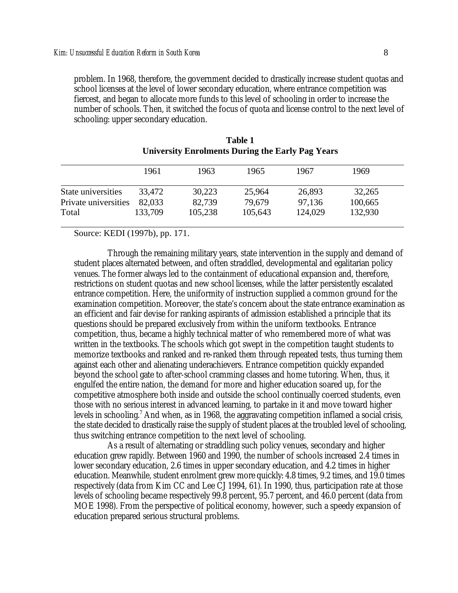problem. In 1968, therefore, the government decided to drastically increase student quotas and school licenses at the level of lower secondary education, where entrance competition was fiercest, and began to allocate more funds to this level of schooling in order to increase the number of schools. Then, it switched the focus of quota and license control to the next level of schooling: upper secondary education.

|                      | 1961    | 1963    | 1965    | 1967    | 1969    |
|----------------------|---------|---------|---------|---------|---------|
| State universities   | 33.472  | 30,223  | 25,964  | 26,893  | 32,265  |
| Private universities | 82,033  | 82,739  | 79,679  | 97,136  | 100,665 |
| Total                | 133,709 | 105,238 | 105,643 | 124,029 | 132,930 |

| <b>Table 1</b>                                          |  |
|---------------------------------------------------------|--|
| <b>University Enrolments During the Early Pag Years</b> |  |

Source: KEDI (1997b), pp. 171.

Through the remaining military years, state intervention in the supply and demand of student places alternated between, and often straddled, developmental and egalitarian policy venues. The former always led to the containment of educational expansion and, therefore, restrictions on student quotas and new school licenses, while the latter persistently escalated entrance competition. Here, the uniformity of instruction supplied a common ground for the examination competition. Moreover, the state's concern about the state entrance examination as an efficient and fair devise for ranking aspirants of admission established a principle that its questions should be prepared exclusively from within the uniform textbooks. Entrance competition, thus, became a highly technical matter of who remembered more of what was written in the textbooks. The schools which got swept in the competition taught students to memorize textbooks and ranked and re-ranked them through repeated tests, thus turning them against each other and alienating underachievers. Entrance competition quickly expanded beyond the school gate to after-school cramming classes and home tutoring. When, thus, it engulfed the entire nation, the demand for more and higher education soared up, for the competitive atmosphere both inside and outside the school continually coerced students, even those with no serious interest in advanced learning, to partake in it and move toward higher levels in schooling.<sup>7</sup> And when, as in 1968, the aggravating competition inflamed a social crisis, the state decided to drastically raise the supply of student places at the troubled level of schooling, thus switching entrance competition to the next level of schooling.

As a result of alternating or straddling such policy venues, secondary and higher education grew rapidly. Between 1960 and 1990, the number of schools increased 2.4 times in lower secondary education, 2.6 times in upper secondary education, and 4.2 times in higher education. Meanwhile, student enrolment grew more quickly: 4.8 times, 9.2 times, and 19.0 times respectively (data from Kim CC and Lee CJ 1994, 61). In 1990, thus, participation rate at those levels of schooling became respectively 99.8 percent, 95.7 percent, and 46.0 percent (data from MOE 1998). From the perspective of political economy, however, such a speedy expansion of education prepared serious structural problems.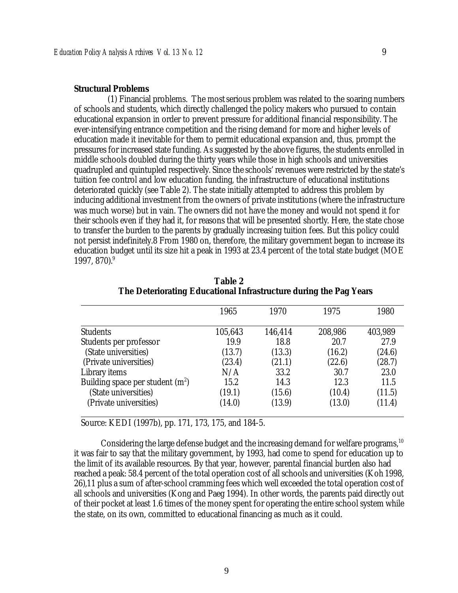(1) Financial problems. The most serious problem was related to the soaring numbers of schools and students, which directly challenged the policy makers who pursued to contain educational expansion in order to prevent pressure for additional financial responsibility. The ever-intensifying entrance competition and the rising demand for more and higher levels of education made it inevitable for them to permit educational expansion and, thus, prompt the pressures for increased state funding. As suggested by the above figures, the students enrolled in middle schools doubled during the thirty years while those in high schools and universities quadrupled and quintupled respectively. Since the schools' revenues were restricted by the state's tuition fee control and low education funding, the infrastructure of educational institutions deteriorated quickly (see Table 2). The state initially attempted to address this problem by inducing additional investment from the owners of private institutions (where the infrastructure was much worse) but in vain. The owners did not have the money and would not spend it for their schools even if they had it, for reasons that will be presented shortly. Here, the state chose to transfer the burden to the parents by gradually increasing tuition fees. But this policy could not persist indefinitely.8 From 1980 on, therefore, the military government began to increase its education budget until its size hit a peak in 1993 at 23.4 percent of the total state budget (MOE 1997, 870). 9

|                                   | 1965    | 1970    | 1975    | 1980    |
|-----------------------------------|---------|---------|---------|---------|
| <b>Students</b>                   | 105,643 | 146,414 | 208,986 | 403,989 |
| Students per professor            | 19.9    | 18.8    | 20.7    | 27.9    |
| (State universities)              | (13.7)  | (13.3)  | (16.2)  | (24.6)  |
| (Private universities)            | (23.4)  | (21.1)  | (22.6)  | (28.7)  |
| Library items                     | N/A     | 33.2    | 30.7    | 23.0    |
| Building space per student $(m2)$ | 15.2    | 14.3    | 12.3    | 11.5    |
| (State universities)              | (19.1)  | (15.6)  | (10.4)  | (11.5)  |
| (Private universities)            | (14.0)  | (13.9)  | (13.0)  | (11.4)  |

**Table 2 The Deteriorating Educational Infrastructure during the Pag Years**

Source: KEDI (1997b), pp. 171, 173, 175, and 184-5.

Considering the large defense budget and the increasing demand for welfare programs,  $10$ it was fair to say that the military government, by 1993, had come to spend for education up to the limit of its available resources. By that year, however, parental financial burden also had reached a peak: 58.4 percent of the total operation cost of all schools and universities (Koh 1998, 26),11 plus a sum of after-school cramming fees which well exceeded the total operation cost of all schools and universities (Kong and Paeg 1994). In other words, the parents paid directly out of their pocket at least 1.6 times of the money spent for operating the entire school system while the state, on its own, committed to educational financing as much as it could.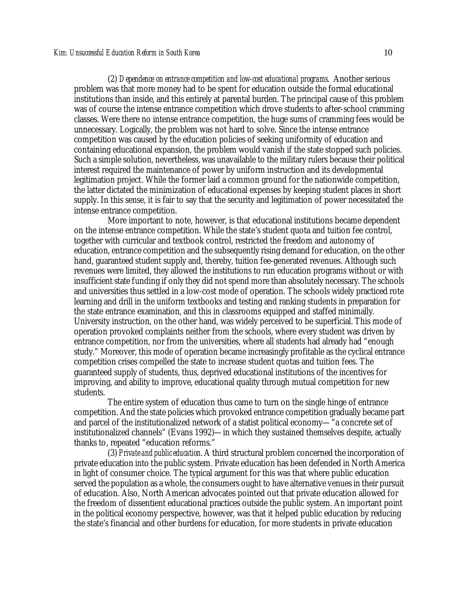(2) *Dependence on entrance competition and low-cost educational programs*. Another serious problem was that more money had to be spent for education outside the formal educational institutions than inside, and this entirely at parental burden. The principal cause of this problem was of course the intense entrance competition which drove students to after-school cramming classes. Were there no intense entrance competition, the huge sums of cramming fees would be unnecessary. Logically, the problem was not hard to solve. Since the intense entrance competition was caused by the education policies of seeking uniformity of education and containing educational expansion, the problem would vanish if the state stopped such policies. Such a simple solution, nevertheless, was unavailable to the military rulers because their political interest required the maintenance of power by uniform instruction and its developmental legitimation project. While the former laid a common ground for the nationwide competition, the latter dictated the minimization of educational expenses by keeping student places in short supply. In this sense, it is fair to say that the security and legitimation of power necessitated the intense entrance competition.

More important to note, however, is that educational institutions became dependent on the intense entrance competition. While the state's student quota and tuition fee control, together with curricular and textbook control, restricted the freedom and autonomy of education, entrance competition and the subsequently rising demand for education, on the other hand, guaranteed student supply and, thereby, tuition fee-generated revenues. Although such revenues were limited, they allowed the institutions to run education programs without or with insufficient state funding if only they did not spend more than absolutely necessary. The schools and universities thus settled in a low-cost mode of operation. The schools widely practiced rote learning and drill in the uniform textbooks and testing and ranking students in preparation for the state entrance examination, and this in classrooms equipped and staffed minimally. University instruction, on the other hand, was widely perceived to be superficial. This mode of operation provoked complaints neither from the schools, where every student was driven by entrance competition, nor from the universities, where all students had already had "enough study." Moreover, this mode of operation became increasingly profitable as the cyclical entrance competition crises compelled the state to increase student quotas and tuition fees. The guaranteed supply of students, thus, deprived educational institutions of the incentives for improving, and ability to improve, educational quality through mutual competition for new students.

The entire system of education thus came to turn on the single hinge of entrance competition. And the state policies which provoked entrance competition gradually became part and parcel of the institutionalized network of a statist political economy—"a concrete set of institutionalized channels" (Evans 1992)—in which they sustained themselves despite, actually thanks to, repeated "education reforms."

(3) *Private and public education*. A third structural problem concerned the incorporation of private education into the public system. Private education has been defended in North America in light of consumer choice. The typical argument for this was that where public education served the population as a whole, the consumers ought to have alternative venues in their pursuit of education. Also, North American advocates pointed out that private education allowed for the freedom of dissentient educational practices outside the public system. An important point in the political economy perspective, however, was that it helped public education by reducing the state's financial and other burdens for education, for more students in private education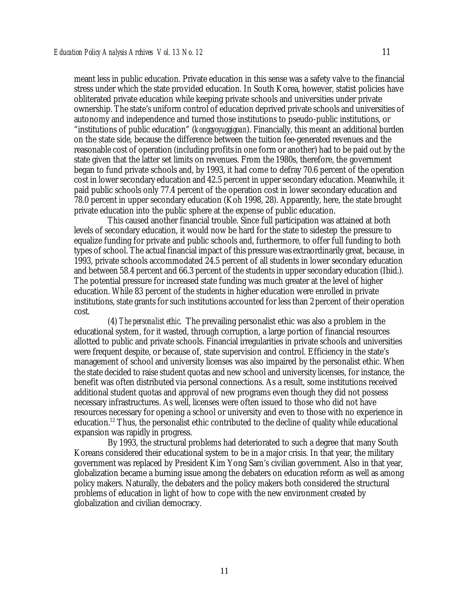meant less in public education. Private education in this sense was a safety valve to the financial stress under which the state provided education. In South Korea, however, statist policies have obliterated private education while keeping private schools and universities under private ownership. The state's uniform control of education deprived private schools and universities of autonomy and independence and turned those institutions to pseudo-public institutions, or "institutions of public education" (*konggyoyuggigoan*). Financially, this meant an additional burden on the state side, because the difference between the tuition fee-generated revenues and the reasonable cost of operation (including profits in one form or another) had to be paid out by the state given that the latter set limits on revenues. From the 1980s, therefore, the government began to fund private schools and, by 1993, it had come to defray 70.6 percent of the operation cost in lower secondary education and 42.5 percent in upper secondary education. Meanwhile, it paid public schools only 77.4 percent of the operation cost in lower secondary education and 78.0 percent in upper secondary education (Koh 1998, 28). Apparently, here, the state brought private education into the public sphere at the expense of public education.

This caused another financial trouble. Since full participation was attained at both levels of secondary education, it would now be hard for the state to sidestep the pressure to equalize funding for private and public schools and, furthermore, to offer full funding to both types of school. The actual financial impact of this pressure was extraordinarily great, because, in 1993, private schools accommodated 24.5 percent of all students in lower secondary education and between 58.4 percent and 66.3 percent of the students in upper secondary education (Ibid.). The potential pressure for increased state funding was much greater at the level of higher education. While 83 percent of the students in higher education were enrolled in private institutions, state grants for such institutions accounted for less than 2 percent of their operation cost.

(4) *The personalist ethic*. The prevailing personalist ethic was also a problem in the educational system, for it wasted, through corruption, a large portion of financial resources allotted to public and private schools. Financial irregularities in private schools and universities were frequent despite, or because of, state supervision and control. Efficiency in the state's management of school and university licenses was also impaired by the personalist ethic. When the state decided to raise student quotas and new school and university licenses, for instance, the benefit was often distributed via personal connections. As a result, some institutions received additional student quotas and approval of new programs even though they did not possess necessary infrastructures. As well, licenses were often issued to those who did not have resources necessary for opening a school or university and even to those with no experience in education.<sup>12</sup> Thus, the personalist ethic contributed to the decline of quality while educational expansion was rapidly in progress.

By 1993, the structural problems had deteriorated to such a degree that many South Koreans considered their educational system to be in a major crisis. In that year, the military government was replaced by President Kim Yong Sam's civilian government. Also in that year, globalization became a burning issue among the debaters on education reform as well as among policy makers. Naturally, the debaters and the policy makers both considered the structural problems of education in light of how to cope with the new environment created by globalization and civilian democracy.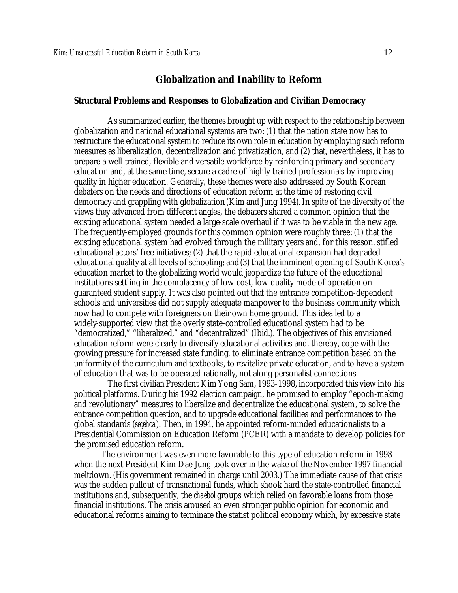#### **Globalization and Inability to Reform**

#### **Structural Problems and Responses to Globalization and Civilian Democracy**

As summarized earlier, the themes brought up with respect to the relationship between globalization and national educational systems are two: (1) that the nation state now has to restructure the educational system to reduce its own role in education by employing such reform measures as liberalization, decentralization and privatization, and (2) that, nevertheless, it has to prepare a well-trained, flexible and versatile workforce by reinforcing primary and secondary education and, at the same time, secure a cadre of highly-trained professionals by improving quality in higher education. Generally, these themes were also addressed by South Korean debaters on the needs and directions of education reform at the time of restoring civil democracy and grappling with globalization (Kim and Jung 1994). In spite of the diversity of the views they advanced from different angles, the debaters shared a common opinion that the existing educational system needed a large-scale overhaul if it was to be viable in the new age. The frequently-employed grounds for this common opinion were roughly three: (1) that the existing educational system had evolved through the military years and, for this reason, stifled educational actors' free initiatives; (2) that the rapid educational expansion had degraded educational quality at all levels of schooling; and (3) that the imminent opening of South Korea's education market to the globalizing world would jeopardize the future of the educational institutions settling in the complacency of low-cost, low-quality mode of operation on guaranteed student supply. It was also pointed out that the entrance competition-dependent schools and universities did not supply adequate manpower to the business community which now had to compete with foreigners on their own home ground. This idea led to a widely-supported view that the overly state-controlled educational system had to be "democratized," "liberalized," and "decentralized" (Ibid.). The objectives of this envisioned education reform were clearly to diversify educational activities and, thereby, cope with the growing pressure for increased state funding, to eliminate entrance competition based on the uniformity of the curriculum and textbooks, to revitalize private education, and to have a system of education that was to be operated rationally, not along personalist connections.

The first civilian President Kim Yong Sam, 1993-1998, incorporated this view into his political platforms. During his 1992 election campaign, he promised to employ "epoch-making and revolutionary" measures to liberalize and decentralize the educational system, to solve the entrance competition question, and to upgrade educational facilities and performances to the global standards (*segehoa*). Then, in 1994, he appointed reform-minded educationalists to a Presidential Commission on Education Reform (PCER) with a mandate to develop policies for the promised education reform.

The environment was even more favorable to this type of education reform in 1998 when the next President Kim Dae Jung took over in the wake of the November 1997 financial meltdown. (His government remained in charge until 2003.) The immediate cause of that crisis was the sudden pullout of transnational funds, which shook hard the state-controlled financial institutions and, subsequently, the *chaebol* groups which relied on favorable loans from those financial institutions. The crisis aroused an even stronger public opinion for economic and educational reforms aiming to terminate the statist political economy which, by excessive state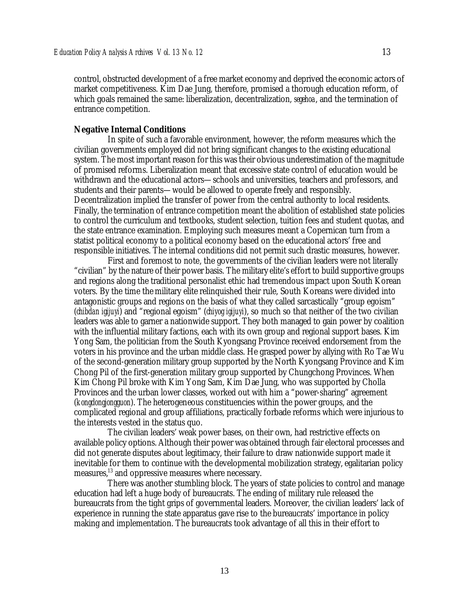control, obstructed development of a free market economy and deprived the economic actors of market competitiveness. Kim Dae Jung, therefore, promised a thorough education reform, of which goals remained the same: liberalization, decentralization, *segehoa*, and the termination of entrance competition.

#### **Negative Internal Conditions**

In spite of such a favorable environment, however, the reform measures which the civilian governments employed did not bring significant changes to the existing educational system. The most important reason for this was their obvious underestimation of the magnitude of promised reforms. Liberalization meant that excessive state control of education would be withdrawn and the educational actors—schools and universities, teachers and professors, and students and their parents—would be allowed to operate freely and responsibly. Decentralization implied the transfer of power from the central authority to local residents. Finally, the termination of entrance competition meant the abolition of established state policies to control the curriculum and textbooks, student selection, tuition fees and student quotas, and the state entrance examination. Employing such measures meant a Copernican turn from a statist political economy to a political economy based on the educational actors' free and responsible initiatives. The internal conditions did not permit such drastic measures, however.

First and foremost to note, the governments of the civilian leaders were not literally "civilian" by the nature of their power basis. The military elite's effort to build supportive groups and regions along the traditional personalist ethic had tremendous impact upon South Korean voters. By the time the military elite relinquished their rule, South Koreans were divided into antagonistic groups and regions on the basis of what they called sarcastically "group egoism" (*chibdan igijuyi*) and "regional egoism" (*chiyog igijuyi*), so much so that neither of the two civilian leaders was able to garner a nationwide support. They both managed to gain power by coalition with the influential military factions, each with its own group and regional support bases. Kim Yong Sam, the politician from the South Kyongsang Province received endorsement from the voters in his province and the urban middle class. He grasped power by allying with Ro Tae Wu of the second-generation military group supported by the North Kyongsang Province and Kim Chong Pil of the first-generation military group supported by Chungchong Provinces. When Kim Chong Pil broke with Kim Yong Sam, Kim Dae Jung, who was supported by Cholla Provinces and the urban lower classes, worked out with him a "power-sharing" agreement (*kongdongjongguon*). The heterogeneous constituencies within the power groups, and the complicated regional and group affiliations, practically forbade reforms which were injurious to the interests vested in the status quo.

The civilian leaders' weak power bases, on their own, had restrictive effects on available policy options. Although their power was obtained through fair electoral processes and did not generate disputes about legitimacy, their failure to draw nationwide support made it inevitable for them to continue with the developmental mobilization strategy, egalitarian policy measures,<sup>13</sup> and oppressive measures where necessary.

There was another stumbling block. The years of state policies to control and manage education had left a huge body of bureaucrats. The ending of military rule released the bureaucrats from the tight grips of governmental leaders. Moreover, the civilian leaders' lack of experience in running the state apparatus gave rise to the bureaucrats' importance in policy making and implementation. The bureaucrats took advantage of all this in their effort to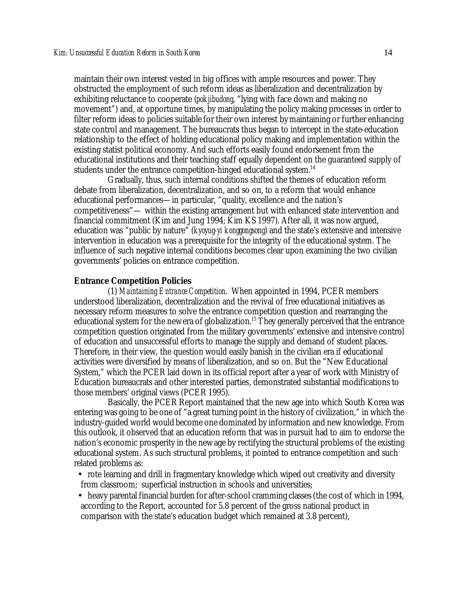maintain their own interest vested in big offices with ample resources and power. They obstructed the employment of such reform ideas as liberalization and decentralization by exhibiting reluctance to cooperate (*pokjibudong*, "lying with face down and making no movement") and, at opportune times, by manipulating the policy making processes in order to filter reform ideas to policies suitable for their own interest by maintaining or further enhancing state control and management. The bureaucrats thus began to intercept in the state-education relationship to the effect of holding educational policy making and implementation within the existing statist political economy. And such efforts easily found endorsement from the educational institutions and their teaching staff equally dependent on the guaranteed supply of students under the entrance competition-hinged educational system.<sup>14</sup>

Gradually, thus, such internal conditions shifted the themes of education reform debate from liberalization, decentralization, and so on, to a reform that would enhance educational performances—in particular, "quality, excellence and the nation's competitiveness"— within the existing arrangement but with enhanced state intervention and financial commitment (Kim and Jung 1994; Kim KS 1997). After all, it was now argued, education was "public by nature" (*kyoyug-yi konggongsong*) and the state's extensive and intensive intervention in education was a prerequisite for the integrity of the educational system. The influence of such negative internal conditions becomes clear upon examining the two civilian governments' policies on entrance competition.

#### **Entrance Competition Policies**

(1) *Maintaining Entrance Competition*. When appointed in 1994, PCER members understood liberalization, decentralization and the revival of free educational initiatives as necessary reform measures to solve the entrance competition question and rearranging the educational system for the new era of globalization.<sup>15</sup> They generally perceived that the entrance competition question originated from the military governments' extensive and intensive control of education and unsuccessful efforts to manage the supply and demand of student places. Therefore, in their view, the question would easily banish in the civilian era if educational activities were diversified by means of liberalization, and so on. But the "New Educational System," which the PCER laid down in its official report after a year of work with Ministry of Education bureaucrats and other interested parties, demonstrated substantial modifications to those members' original views (PCER 1995).

Basically, the PCER Report maintained that the new age into which South Korea was entering was going to be one of "a great turning point in the history of civilization," in which the industry-guided world would become one dominated by information and new knowledge. From this outlook, it observed that an education reform that was in pursuit had to aim to endorse the nation's economic prosperity in the new age by rectifying the structural problems of the existing educational system. As such structural problems, it pointed to entrance competition and such related problems as:

- rote learning and drill in fragmentary knowledge which wiped out creativity and diversity from classroom; superficial instruction in schools and universities;
- heavy parental financial burden for after-school cramming classes (the cost of which in 1994, according to the Report, accounted for 5.8 percent of the gross national product in comparison with the state's education budget which remained at 3.8 percent),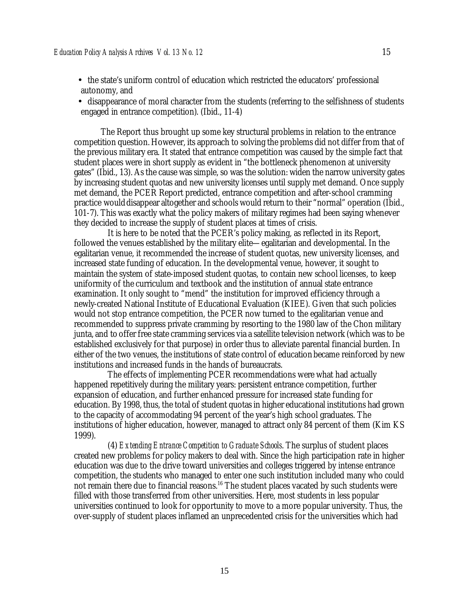- the state's uniform control of education which restricted the educators' professional autonomy, and
- disappearance of moral character from the students (referring to the selfishness of students engaged in entrance competition). (Ibid., 11-4)

The Report thus brought up some key structural problems in relation to the entrance competition question. However, its approach to solving the problems did not differ from that of the previous military era. It stated that entrance competition was caused by the simple fact that student places were in short supply as evident in "the bottleneck phenomenon at university gates" (Ibid., 13). As the cause was simple, so was the solution: widen the narrow university gates by increasing student quotas and new university licenses until supply met demand. Once supply met demand, the PCER Report predicted, entrance competition and after-school cramming practice would disappear altogether and schools would return to their "normal" operation (Ibid., 101-7). This was exactly what the policy makers of military regimes had been saying whenever they decided to increase the supply of student places at times of crisis.

It is here to be noted that the PCER's policy making, as reflected in its Report, followed the venues established by the military elite—egalitarian and developmental. In the egalitarian venue, it recommended the increase of student quotas, new university licenses, and increased state funding of education. In the developmental venue, however, it sought to maintain the system of state-imposed student quotas, to contain new school licenses, to keep uniformity of the curriculum and textbook and the institution of annual state entrance examination. It only sought to "mend" the institution for improved efficiency through a newly-created National Institute of Educational Evaluation (KIEE). Given that such policies would not stop entrance competition, the PCER now turned to the egalitarian venue and recommended to suppress private cramming by resorting to the 1980 law of the Chon military junta, and to offer free state cramming services via a satellite television network (which was to be established exclusively for that purpose) in order thus to alleviate parental financial burden. In either of the two venues, the institutions of state control of education became reinforced by new institutions and increased funds in the hands of bureaucrats.

The effects of implementing PCER recommendations were what had actually happened repetitively during the military years: persistent entrance competition, further expansion of education, and further enhanced pressure for increased state funding for education. By 1998, thus, the total of student quotas in higher educational institutions had grown to the capacity of accommodating 94 percent of the year's high school graduates. The institutions of higher education, however, managed to attract only 84 percent of them (Kim KS 1999).

(4) *Extending Entrance Competition to Graduate Schools*. The surplus of student places created new problems for policy makers to deal with. Since the high participation rate in higher education was due to the drive toward universities and colleges triggered by intense entrance competition, the students who managed to enter one such institution included many who could not remain there due to financial reasons.<sup>16</sup> The student places vacated by such students were filled with those transferred from other universities. Here, most students in less popular universities continued to look for opportunity to move to a more popular university. Thus, the over-supply of student places inflamed an unprecedented crisis for the universities which had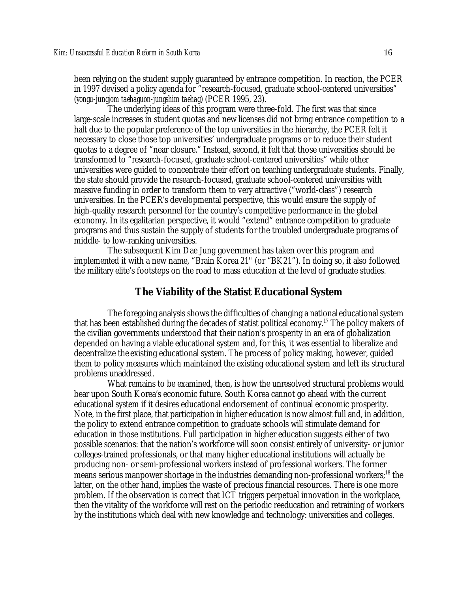been relying on the student supply guaranteed by entrance competition. In reaction, the PCER in 1997 devised a policy agenda for "research-focused, graduate school-centered universities" (*yongu-jungjom taehaguon-jungshim taehag*) (PCER 1995, 23).

The underlying ideas of this program were three-fold. The first was that since large-scale increases in student quotas and new licenses did not bring entrance competition to a halt due to the popular preference of the top universities in the hierarchy, the PCER felt it necessary to close those top universities' undergraduate programs or to reduce their student quotas to a degree of "near closure." Instead, second, it felt that those universities should be transformed to "research-focused, graduate school-centered universities" while other universities were guided to concentrate their effort on teaching undergraduate students. Finally, the state should provide the research-focused, graduate school-centered universities with massive funding in order to transform them to very attractive ("world-class") research universities. In the PCER's developmental perspective, this would ensure the supply of high-quality research personnel for the country's competitive performance in the global economy. In its egalitarian perspective, it would "extend" entrance competition to graduate programs and thus sustain the supply of students for the troubled undergraduate programs of middle- to low-ranking universities.

The subsequent Kim Dae Jung government has taken over this program and implemented it with a new name, "Brain Korea 21" (or "BK21"). In doing so, it also followed the military elite's footsteps on the road to mass education at the level of graduate studies.

#### **The Viability of the Statist Educational System**

The foregoing analysis shows the difficulties of changing a national educational system that has been established during the decades of statist political economy.<sup>17</sup> The policy makers of the civilian governments understood that their nation's prosperity in an era of globalization depended on having a viable educational system and, for this, it was essential to liberalize and decentralize the existing educational system. The process of policy making, however, guided them to policy measures which maintained the existing educational system and left its structural problems unaddressed.

What remains to be examined, then, is how the unresolved structural problems would bear upon South Korea's economic future. South Korea cannot go ahead with the current educational system if it desires educational endorsement of continual economic prosperity. Note, in the first place, that participation in higher education is now almost full and, in addition, the policy to extend entrance competition to graduate schools will stimulate demand for education in those institutions. Full participation in higher education suggests either of two possible scenarios: that the nation's workforce will soon consist entirely of university- or junior colleges-trained professionals, or that many higher educational institutions will actually be producing non- or semi-professional workers instead of professional workers. The former means serious manpower shortage in the industries demanding non-professional workers;<sup>18</sup> the latter, on the other hand, implies the waste of precious financial resources. There is one more problem. If the observation is correct that ICT triggers perpetual innovation in the workplace, then the vitality of the workforce will rest on the periodic reeducation and retraining of workers by the institutions which deal with new knowledge and technology: universities and colleges.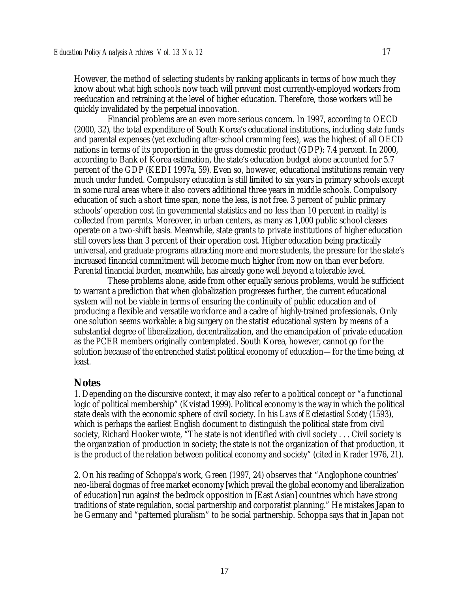However, the method of selecting students by ranking applicants in terms of how much they know about what high schools now teach will prevent most currently-employed workers from reeducation and retraining at the level of higher education. Therefore, those workers will be quickly invalidated by the perpetual innovation.

Financial problems are an even more serious concern. In 1997, according to OECD (2000, 32), the total expenditure of South Korea's educational institutions, including state funds and parental expenses (yet excluding after-school cramming fees), was the highest of all OECD nations in terms of its proportion in the gross domestic product (GDP): 7.4 percent. In 2000, according to Bank of Korea estimation, the state's education budget alone accounted for 5.7 percent of the GDP (KEDI 1997a, 59). Even so, however, educational institutions remain very much under funded. Compulsory education is still limited to six years in primary schools except in some rural areas where it also covers additional three years in middle schools. Compulsory education of such a short time span, none the less, is not free. 3 percent of public primary schools' operation cost (in governmental statistics and no less than 10 percent in reality) is collected from parents. Moreover, in urban centers, as many as 1,000 public school classes operate on a two-shift basis. Meanwhile, state grants to private institutions of higher education still covers less than 3 percent of their operation cost. Higher education being practically universal, and graduate programs attracting more and more students, the pressure for the state's increased financial commitment will become much higher from now on than ever before. Parental financial burden, meanwhile, has already gone well beyond a tolerable level.

These problems alone, aside from other equally serious problems, would be sufficient to warrant a prediction that when globalization progresses further, the current educational system will not be viable in terms of ensuring the continuity of public education and of producing a flexible and versatile workforce and a cadre of highly-trained professionals. Only one solution seems workable: a big surgery on the statist educational system by means of a substantial degree of liberalization, decentralization, and the emancipation of private education as the PCER members originally contemplated. South Korea, however, cannot go for the solution because of the entrenched statist political economy of education—for the time being, at least.

#### **Notes**

1. Depending on the discursive context, it may also refer to a political concept or "a functional logic of political membership" (Kvistad 1999). Political economy is the way in which the political state deals with the economic sphere of civil society. In his *Laws of Ecclesiastical Society* (1593), which is perhaps the earliest English document to distinguish the political state from civil society, Richard Hooker wrote, "The state is not identified with civil society . . . Civil society is the organization of production in society; the state is not the organization of that production, it is the product of the relation between political economy and society" (cited in Krader 1976, 21).

2. On his reading of Schoppa's work, Green (1997, 24) observes that "Anglophone countries' neo-liberal dogmas of free market economy [which prevail the global economy and liberalization of education] run against the bedrock opposition in [East Asian] countries which have strong traditions of state regulation, social partnership and corporatist planning." He mistakes Japan to be Germany and "patterned pluralism" to be social partnership. Schoppa says that in Japan not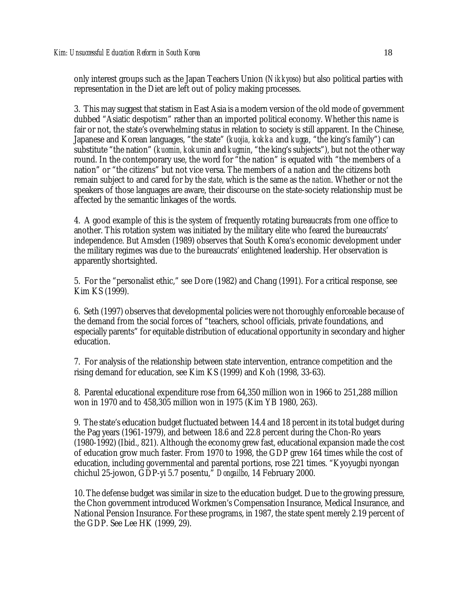only interest groups such as the Japan Teachers Union (*Nikkyoso*) but also political parties with representation in the Diet are left out of policy making processes.

3. This may suggest that statism in East Asia is a modern version of the old mode of government dubbed "Asiatic despotism" rather than an imported political economy. Whether this name is fair or not, the state's overwhelming status in relation to society is still apparent. In the Chinese, Japanese and Korean languages, "the state" (*kuojia, kokka* and *kugga*, "the king's family") can substitute "the nation" (*kuomin, kokumin* and *kugmin*, "the king's subjects"), but not the other way round. In the contemporary use, the word for "the nation" is equated with "the members of a nation" or "the citizens" but not vice versa. The members of a nation and the citizens both remain subject to and cared for by the *state*, which is the same as the *nation*. Whether or not the speakers of those languages are aware, their discourse on the state-society relationship must be affected by the semantic linkages of the words.

4. A good example of this is the system of frequently rotating bureaucrats from one office to another. This rotation system was initiated by the military elite who feared the bureaucrats' independence. But Amsden (1989) observes that South Korea's economic development under the military regimes was due to the bureaucrats' enlightened leadership. Her observation is apparently shortsighted.

5. For the "personalist ethic," see Dore (1982) and Chang (1991). For a critical response, see Kim KS (1999).

6. Seth (1997) observes that developmental policies were not thoroughly enforceable because of the demand from the social forces of "teachers, school officials, private foundations, and especially parents" for equitable distribution of educational opportunity in secondary and higher education.

7. For analysis of the relationship between state intervention, entrance competition and the rising demand for education, see Kim KS (1999) and Koh (1998, 33-63).

8. Parental educational expenditure rose from 64,350 million won in 1966 to 251,288 million won in 1970 and to 458,305 million won in 1975 (Kim YB 1980, 263).

9. The state's education budget fluctuated between 14.4 and 18 percent in its total budget during the Pag years (1961-1979), and between 18.6 and 22.8 percent during the Chon-Ro years (1980-1992) (Ibid., 821). Although the economy grew fast, educational expansion made the cost of education grow much faster. From 1970 to 1998, the GDP grew 164 times while the cost of education, including governmental and parental portions, rose 221 times. "Kyoyugbi nyongan chichul 25-jowon, GDP-yi 5.7 posentu," *Dongailbo*, 14 February 2000.

10. The defense budget was similar in size to the education budget. Due to the growing pressure, the Chon government introduced Workmen's Compensation Insurance, Medical Insurance, and National Pension Insurance. For these programs, in 1987, the state spent merely 2.19 percent of the GDP. See Lee HK (1999, 29).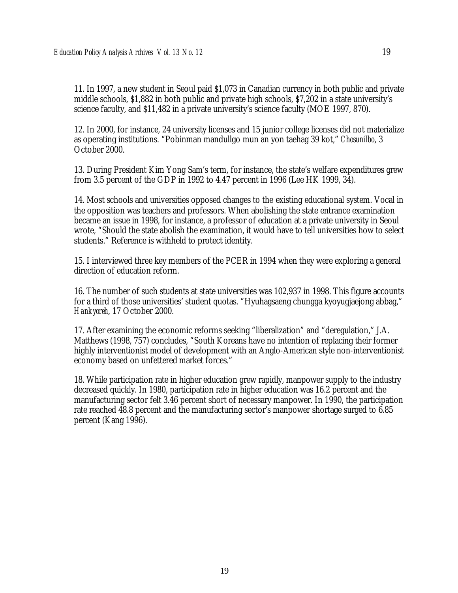11. In 1997, a new student in Seoul paid \$1,073 in Canadian currency in both public and private middle schools, \$1,882 in both public and private high schools, \$7,202 in a state university's science faculty, and \$11,482 in a private university's science faculty (MOE 1997, 870).

12. In 2000, for instance, 24 university licenses and 15 junior college licenses did not materialize as operating institutions. "Pobinman mandullgo mun an yon taehag 39 kot," *Chosunilbo*, 3 October 2000.

13. During President Kim Yong Sam's term, for instance, the state's welfare expenditures grew from 3.5 percent of the GDP in 1992 to 4.47 percent in 1996 (Lee HK 1999, 34).

14. Most schools and universities opposed changes to the existing educational system. Vocal in the opposition was teachers and professors. When abolishing the state entrance examination became an issue in 1998, for instance, a professor of education at a private university in Seoul wrote, "Should the state abolish the examination, it would have to tell universities how to select students." Reference is withheld to protect identity.

15. I interviewed three key members of the PCER in 1994 when they were exploring a general direction of education reform.

16. The number of such students at state universities was 102,937 in 1998. This figure accounts for a third of those universities' student quotas. "Hyuhagsaeng chungga kyoyugjaejong abbag," *Hankyoreh*, 17 October 2000.

17. After examining the economic reforms seeking "liberalization" and "deregulation," J.A. Matthews (1998, 757) concludes, "South Koreans have no intention of replacing their former highly interventionist model of development with an Anglo-American style non-interventionist economy based on unfettered market forces."

18. While participation rate in higher education grew rapidly, manpower supply to the industry decreased quickly. In 1980, participation rate in higher education was 16.2 percent and the manufacturing sector felt 3.46 percent short of necessary manpower. In 1990, the participation rate reached 48.8 percent and the manufacturing sector's manpower shortage surged to 6.85 percent (Kang 1996).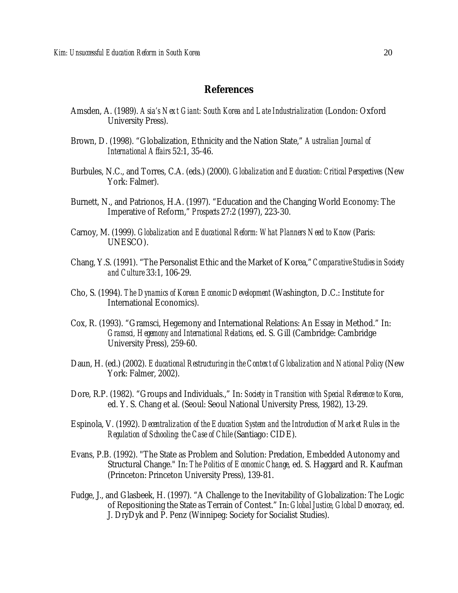#### **References**

- Amsden, A. (1989). *Asia's Next Giant: South Korea and Late Industrialization* (London: Oxford University Press).
- Brown, D. (1998). "Globalization, Ethnicity and the Nation State," *Australian Journal of International Affairs* 52:1, 35-46.
- Burbules, N.C., and Torres, C.A. (eds.) (2000). *Globalization and Education: Critical Perspectives* (New York: Falmer).
- Burnett, N., and Patrionos, H.A. (1997). "Education and the Changing World Economy: The Imperative of Reform," *Prospects* 27:2 (1997), 223-30.
- Carnoy, M. (1999). *Globalization and Educational Reform: What Planners Need to Know* (Paris: UNESCO).
- Chang, Y.S. (1991). "The Personalist Ethic and the Market of Korea," *Comparative Studies in Society and Culture* 33:1, 106-29.
- Cho, S. (1994). *The Dynamics of Korean Economic Development* (Washington, D.C.: Institute for International Economics).
- Cox, R. (1993). "Gramsci, Hegemony and International Relations: An Essay in Method." In: *Gramsci, Hegemony and International Relations*, ed. S. Gill (Cambridge: Cambridge University Press), 259-60.
- Daun, H. (ed.) (2002). *Educational Restructuring in the Context of Globalization and National Policy* (New York: Falmer, 2002).
- Dore, R.P. (1982). "Groups and Individuals.," In: *Society in Transition with Special Reference to Korea*, ed. Y. S. Chang et al. (Seoul: Seoul National University Press, 1982), 13-29.
- Espinola, V. (1992). *Decentralization of the Education System and the Introduction of Market Rules in the Regulation of Schooling: the Case of Chile* (Santiago: CIDE).
- Evans, P.B. (1992). "The State as Problem and Solution: Predation, Embedded Autonomy and Structural Change." In: *The Politics of Economic Change*, ed. S. Haggard and R. Kaufman (Princeton: Princeton University Press), 139-81.
- Fudge, J., and Glasbeek, H. (1997). "A Challenge to the Inevitability of Globalization: The Logic of Repositioning the State as Terrain of Contest." In: *Global Justice, Global Democracy*, ed. J. DryDyk and P. Penz (Winnipeg: Society for Socialist Studies).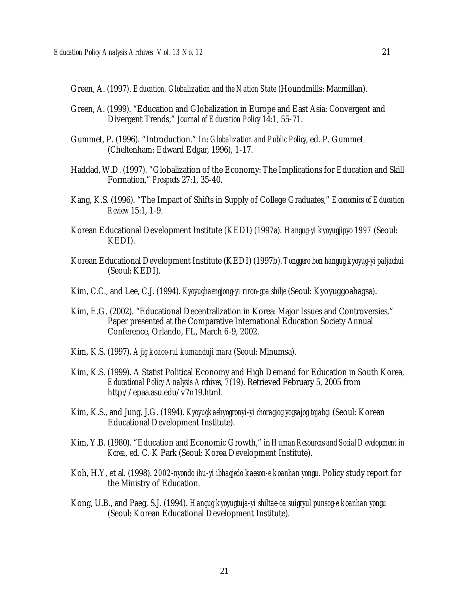Green, A. (1997). *Education, Globalization and the Nation State* (Houndmills: Macmillan).

- Green, A. (1999). "Education and Globalization in Europe and East Asia: Convergent and Divergent Trends," *Journal of Education Policy* 14:1, 55-71.
- Gummet, P. (1996). "Introduction." In: *Globalization and Public Policy*, ed. P. Gummet (Cheltenham: Edward Edgar, 1996), 1-17.
- Haddad, W.D. (1997). "Globalization of the Economy: The Implications for Education and Skill Formation," *Prospects* 27:1, 35-40.
- Kang, K.S. (1996). "The Impact of Shifts in Supply of College Graduates," *Economics of Education Review* 15:1, 1-9.
- Korean Educational Development Institute (KEDI) (1997a). *Hangug-yi kyoyugjipyo 1997* (Seoul: KEDI).
- Korean Educational Development Institute (KEDI) (1997b). *Tonggero bon hangug kyoyug-yi paljachui* (Seoul: KEDI).
- Kim, C.C., and Lee, C.J. (1994). *Kyoyughaengjong-yi riron-goa shilje* (Seoul: Kyoyuggoahagsa).
- Kim, E.G. (2002). "Educational Decentralization in Korea: Major Issues and Controversies." Paper presented at the Comparative International Education Society Annual Conference, Orlando, FL, March 6-9, 2002.
- Kim, K.S. (1997). *Ajig koaoe-rul kumanduji mara* (Seoul: Minumsa).
- Kim, K.S. (1999). A Statist Political Economy and High Demand for Education in South Korea, *Educational Policy Analysis Archives, 7*(19). Retrieved February 5, 2005 from http://epaa.asu.edu/v7n19.html.
- Kim, K.S., and Jung, J.G. (1994). *Kyoyugkaehyogronyi-yi choragjog yogsajog tojabgi* (Seoul: Korean Educational Development Institute).
- Kim, Y.B. (1980). "Education and Economic Growth," in *Human Resources and Social Development in Korea*, ed. C. K Park (Seoul: Korea Development Institute).
- Koh, H.Y, et al. (1998). *2002-nyondo ihu-yi ibhagjedo kaeson-e koanhan yongu*. Policy study report for the Ministry of Education.
- Kong, U.B., and Paeg, S.J. (1994). *Hangug kyoyugtuja-yi shiltae-oa suigryul punsog-e koanhan yongu* (Seoul: Korean Educational Development Institute).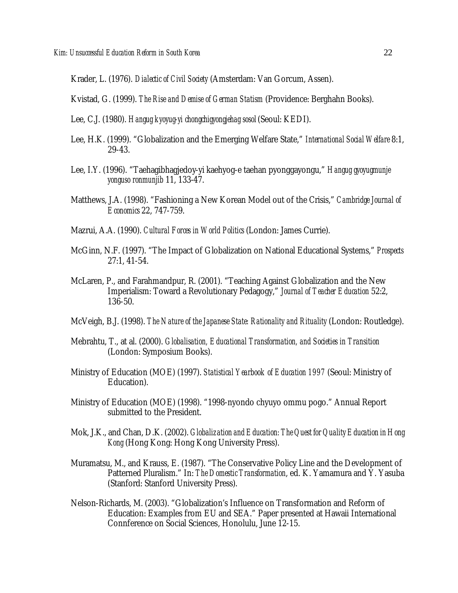Krader, L. (1976). *Dialectic of Civil Society* (Amsterdam: Van Gorcum, Assen).

Kvistad, G. (1999). *The Rise and Demise of German Statism* (Providence: Berghahn Books).

- Lee, C.J. (1980). *Hangug kyoyug-yi chongchigyongjehag sosol* (Seoul: KEDI).
- Lee, H.K. (1999). "Globalization and the Emerging Welfare State," *International Social Welfare* 8:1, 29-43.
- Lee, I.Y. (1996). "Taehagibhagjedoy-yi kaehyog-e taehan pyonggayongu," *Hangug gyoyugmunje yonguso ronmunjib* 11, 133-47.
- Matthews, J.A. (1998). "Fashioning a New Korean Model out of the Crisis," *Cambridge Journal of Economics* 22, 747-759.
- Mazrui, A.A. (1990). *Cultural Forces in World Politics* (London: James Currie).
- McGinn, N.F. (1997). "The Impact of Globalization on National Educational Systems," *Prospects* 27:1, 41-54.
- McLaren, P., and Farahmandpur, R. (2001). "Teaching Against Globalization and the New Imperialism: Toward a Revolutionary Pedagogy," *Journal of Teacher Education* 52:2, 136-50.
- McVeigh, B.J. (1998). *The Nature of the Japanese State: Rationality and Rituality* (London: Routledge).
- Mebrahtu, T., at al. (2000). *Globalisation, Educational Transformation, and Societies in Transition* (London: Symposium Books).
- Ministry of Education (MOE) (1997). *Statistical Yearbook of Education 1997* (Seoul: Ministry of Education).
- Ministry of Education (MOE) (1998). "1998-nyondo chyuyo ommu pogo." Annual Report submitted to the President.
- Mok, J.K., and Chan, D.K. (2002). *Globalization and Education: The Quest for Quality Education in Hong Kong* (Hong Kong: Hong Kong University Press).
- Muramatsu, M., and Krauss, E. (1987). "The Conservative Policy Line and the Development of Patterned Pluralism." In: *The Domestic Transformation*, ed. K. Yamamura and Y. Yasuba (Stanford: Stanford University Press).
- Nelson-Richards, M. (2003). "Globalization's Influence on Transformation and Reform of Education: Examples from EU and SEA." Paper presented at Hawaii International Connference on Social Sciences, Honolulu, June 12-15.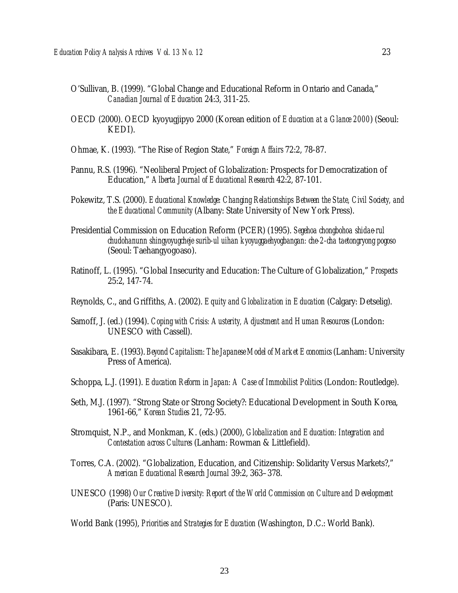- O'Sullivan, B. (1999). "Global Change and Educational Reform in Ontario and Canada," *Canadian Journal of Education* 24:3, 311-25.
- OECD (2000). OECD kyoyugjipyo 2000 (Korean edition of *Education at a Glance 2000*) (Seoul: KEDI).
- Ohmae, K. (1993). "The Rise of Region State," *Foreign Affairs* 72:2, 78-87.
- Pannu, R.S. (1996). "Neoliberal Project of Globalization: Prospects for Democratization of Education," *Alberta Journal of Educational Research* 42:2, 87-101.
- Pokewitz, T.S. (2000). *Educational Knowledge: Changing Relationships Between the State, Civil Society, and the Educational Community* (Albany: State University of New York Press).
- Presidential Commission on Education Reform (PCER) (1995). *Segehoa chongbohoa shidae-rul chudohanunn shingyoyugcheje surib-ul uihan kyoyuggaehyogbangan: che-2-cha taetongryong pogoso* (Seoul: Taehangyogoaso).
- Ratinoff, L. (1995). "Global Insecurity and Education: The Culture of Globalization," *Prospects* 25:2, 147-74.
- Reynolds, C., and Griffiths, A. (2002). *Equity and Globalization in Education* (Calgary: Detselig).
- Samoff, J. (ed.) (1994). *Coping with Crisis: Austerity, Adjustment and Human Resources* (London: UNESCO with Cassell).
- Sasakibara, E. (1993). *Beyond Capitalism: The Japanese Model of Market Economics* (Lanham: University Press of America).
- Schoppa, L.J. (1991). *Education Reform in Japan: A Case of Immobilist Politics* (London: Routledge).
- Seth, M.J. (1997). "Strong State or Strong Society?: Educational Development in South Korea, 1961-66," *Korean Studies* 21, 72-95.
- Stromquist, N.P., and Monkman, K. (eds.) (2000), *Globalization and Education: Integration and Contestation across Cultures* (Lanham: Rowman & Littlefield).
- Torres, C.A. (2002). "Globalization, Education, and Citizenship: Solidarity Versus Markets?," *American Educational Research Journal* 39:2, 363–378.
- UNESCO (1998) *Our Creative Diversity: Report of the World Commission on Culture and Development* (Paris: UNESCO).

World Bank (1995), *Priorities and Strategies for Education* (Washington, D.C.: World Bank).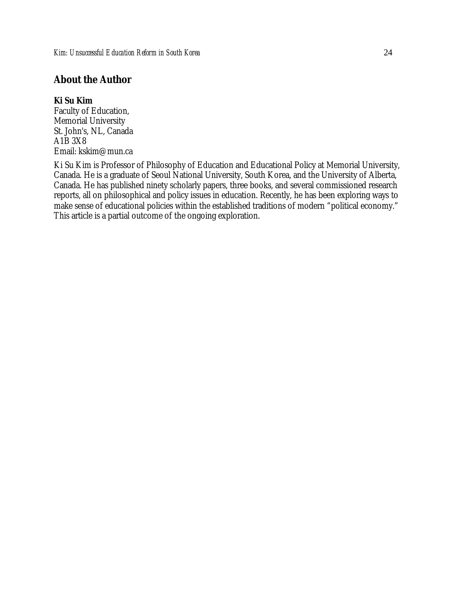## **About the Author**

#### **Ki Su Kim**

Faculty of Education, Memorial University St. John's, NL, Canada A1B 3X8 Email: kskim@mun.ca

Ki Su Kim is Professor of Philosophy of Education and Educational Policy at Memorial University, Canada. He is a graduate of Seoul National University, South Korea, and the University of Alberta, Canada. He has published ninety scholarly papers, three books, and several commissioned research reports, all on philosophical and policy issues in education. Recently, he has been exploring ways to make sense of educational policies within the established traditions of modern "political economy." This article is a partial outcome of the ongoing exploration.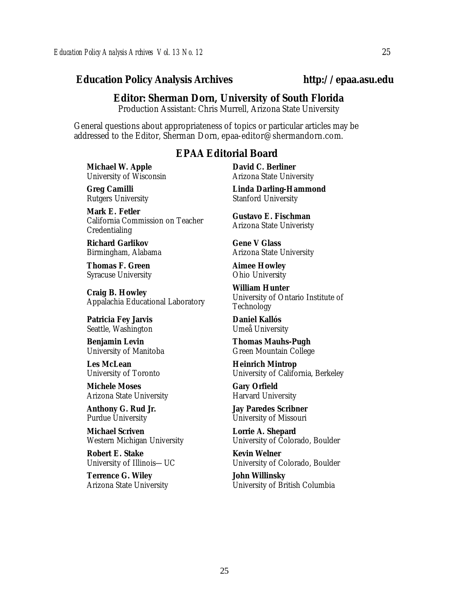#### *Education Policy Analysis Archives* **http://epaa.asu.edu**

#### **Editor: Sherman Dorn, University of South Florida**

Production Assistant: Chris Murrell, Arizona State University

General questions about appropriateness of topics or particular articles may be addressed to the Editor, Sherman Dorn, epaa-editor@shermandorn.com.

#### *EPAA* **Editorial Board**

**Michael W. Apple** University of Wisconsin

**Greg Camilli** Rutgers University

**Mark E. Fetler** California Commission on Teacher Credentialing

**Richard Garlikov** Birmingham, Alabama

**Thomas F. Green** Syracuse University

**Craig B. Howley** Appalachia Educational Laboratory

**Patricia Fey Jarvis**  Seattle, Washington

**Benjamin Levin** University of Manitoba

**Les McLean** University of Toronto

**Michele Moses** Arizona State University

**Anthony G. Rud Jr.** Purdue University

**Michael Scriven** Western Michigan University

**Robert E. Stake**  University of Illinois—UC

**Terrence G. Wiley** Arizona State University **David C. Berliner**  Arizona State University

**Linda Darling-Hammond**  Stanford University

**Gustavo E. Fischman** Arizona State Univeristy

**Gene V Glass** Arizona State University

**Aimee Howley** Ohio University

**William Hunter** University of Ontario Institute of Technology

**Daniel Kallós** Umeå University

**Thomas Mauhs-Pugh** Green Mountain College

**Heinrich Mintrop**  University of California, Berkeley

**Gary Orfield** Harvard University

**Jay Paredes Scribner** University of Missouri

**Lorrie A. Shepard** University of Colorado, Boulder

**Kevin Welner** University of Colorado, Boulder

**John Willinsky** University of British Columbia